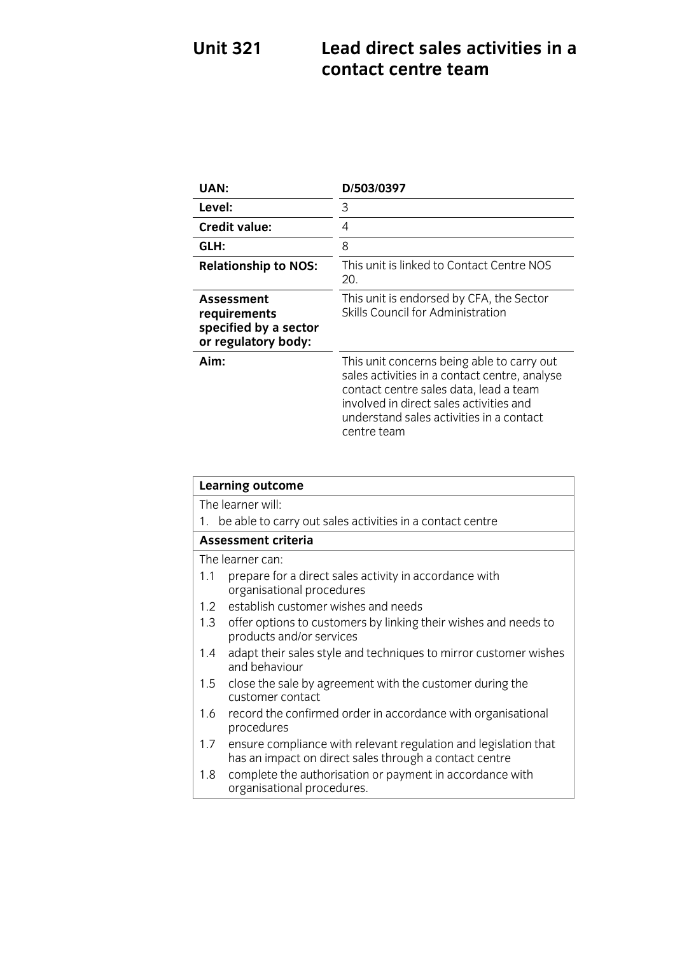# **Unit 321 Lead direct sales activities in a**

| <b>UAN:</b>                                                                | D/503/0397                                                                                                                                                                                                                                  |
|----------------------------------------------------------------------------|---------------------------------------------------------------------------------------------------------------------------------------------------------------------------------------------------------------------------------------------|
| Level:                                                                     | 3                                                                                                                                                                                                                                           |
| <b>Credit value:</b>                                                       | 4                                                                                                                                                                                                                                           |
| GLH:                                                                       | 8                                                                                                                                                                                                                                           |
| <b>Relationship to NOS:</b>                                                | This unit is linked to Contact Centre NOS<br>20.                                                                                                                                                                                            |
| Assessment<br>requirements<br>specified by a sector<br>or regulatory body: | This unit is endorsed by CFA, the Sector<br>Skills Council for Administration                                                                                                                                                               |
| Aim:                                                                       | This unit concerns being able to carry out<br>sales activities in a contact centre, analyse<br>contact centre sales data, lead a team<br>involved in direct sales activities and<br>understand sales activities in a contact<br>centre team |

| <b>Learning outcome</b> |                                                                                                                           |  |
|-------------------------|---------------------------------------------------------------------------------------------------------------------------|--|
| The learner will:       |                                                                                                                           |  |
|                         | 1. be able to carry out sales activities in a contact centre                                                              |  |
| Assessment criteria     |                                                                                                                           |  |
| The learner can:        |                                                                                                                           |  |
| 1.1                     | prepare for a direct sales activity in accordance with<br>organisational procedures                                       |  |
| 1.2                     | establish customer wishes and needs                                                                                       |  |
| 1.3                     | offer options to customers by linking their wishes and needs to<br>products and/or services                               |  |
| 1.4                     | adapt their sales style and techniques to mirror customer wishes<br>and behaviour                                         |  |
| 1.5                     | close the sale by agreement with the customer during the<br>customer contact                                              |  |
| 1.6                     | record the confirmed order in accordance with organisational<br>procedures                                                |  |
| 1.7                     | ensure compliance with relevant regulation and legislation that<br>has an impact on direct sales through a contact centre |  |
| 1.8                     | complete the authorisation or payment in accordance with<br>organisational procedures.                                    |  |

organisational procedures.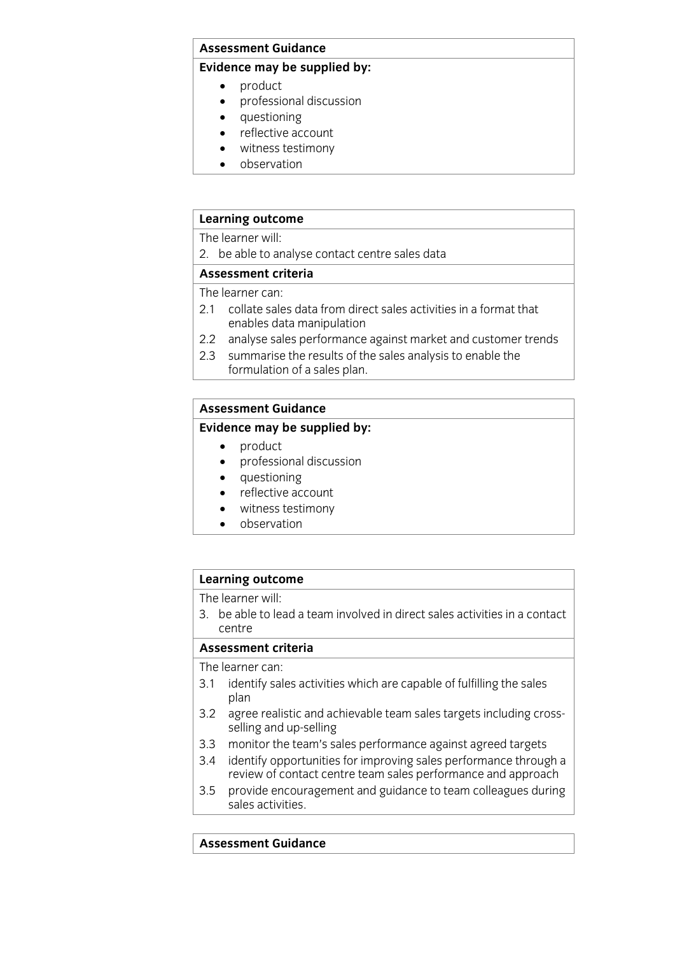#### **Assessment Guidance**

#### **Evidence may be supplied by:**

- 
- product<br>• product<br>• professional discussion professional discussion
	- questioning
	- reflective account<br>• witness testimony
	- witness testimony
	- observation

#### **Learning outcome**

The learner will:

2. be able to analyse contact centre sales data

#### Assessment criteria

The learner can:

- 2.1 collate sales data from direct sales activities in a format that enables data manipulation
- 2.2 analyse sales performance against market and customer trends
- 2.3 summarise the results of the sales analysis to enable the formulation of a sales plan. formulation of a sales plan. The sales plan of a sales plan of a sales plan of a sales plan.

### **Assessment Guidance**

### **Evidence may be supplied by:**

- 
- product<br>• product<br>• professional discussion professional discussion
	- questioning
	- reflective account
	- witness testimony
	- observation

### **Learning outcome**<br>The learner will:

3. be able to lead a team involved in direct sales activities in a contact  $\epsilon$  able to lead a team involved in direct sales activities in a contactivities in a contactivities in a contactivities in a contactivities in a contactivities in a contactivities in a contactivities in a contactivities i

#### Assessment criteria

The learner can:

- 3.1 identify sales activities which are capable of fulfilling the sales  $\frac{1}{2}$  identify sales activities which are capable of  $\frac{1}{2}$
- plan<br>3.2 agree realistic and achievable team sales targets including crossselling and up-selling
- 3.3 monitor the team's sales performance against agreed targets
- 3.4 identify opportunities for improving sales performance through a review of contact centre team sales performance and approach
- provide encouragement and guidance to team colleagues during  $3.5$ sales activities <u>saar activities</u>.

### **Assessment Guidance**